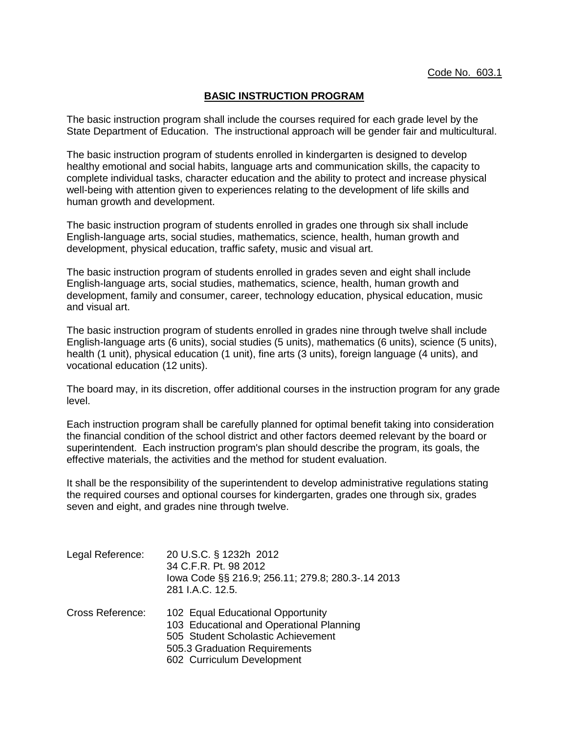## **BASIC INSTRUCTION PROGRAM**

The basic instruction program shall include the courses required for each grade level by the State Department of Education. The instructional approach will be gender fair and multicultural.

The basic instruction program of students enrolled in kindergarten is designed to develop healthy emotional and social habits, language arts and communication skills, the capacity to complete individual tasks, character education and the ability to protect and increase physical well-being with attention given to experiences relating to the development of life skills and human growth and development.

The basic instruction program of students enrolled in grades one through six shall include English-language arts, social studies, mathematics, science, health, human growth and development, physical education, traffic safety, music and visual art.

The basic instruction program of students enrolled in grades seven and eight shall include English-language arts, social studies, mathematics, science, health, human growth and development, family and consumer, career, technology education, physical education, music and visual art.

The basic instruction program of students enrolled in grades nine through twelve shall include English-language arts (6 units), social studies (5 units), mathematics (6 units), science (5 units), health (1 unit), physical education (1 unit), fine arts (3 units), foreign language (4 units), and vocational education (12 units).

The board may, in its discretion, offer additional courses in the instruction program for any grade level.

Each instruction program shall be carefully planned for optimal benefit taking into consideration the financial condition of the school district and other factors deemed relevant by the board or superintendent. Each instruction program's plan should describe the program, its goals, the effective materials, the activities and the method for student evaluation.

It shall be the responsibility of the superintendent to develop administrative regulations stating the required courses and optional courses for kindergarten, grades one through six, grades seven and eight, and grades nine through twelve.

| Legal Reference: | 20 U.S.C. § 1232h 2012<br>34 C.F.R. Pt. 98 2012<br>lowa Code §§ 216.9; 256.11; 279.8; 280.3-.14 2013<br>281 I.A.C. 12.5.                                                           |
|------------------|------------------------------------------------------------------------------------------------------------------------------------------------------------------------------------|
| Cross Reference: | 102 Equal Educational Opportunity<br>103 Educational and Operational Planning<br>505 Student Scholastic Achievement<br>505.3 Graduation Requirements<br>602 Curriculum Development |